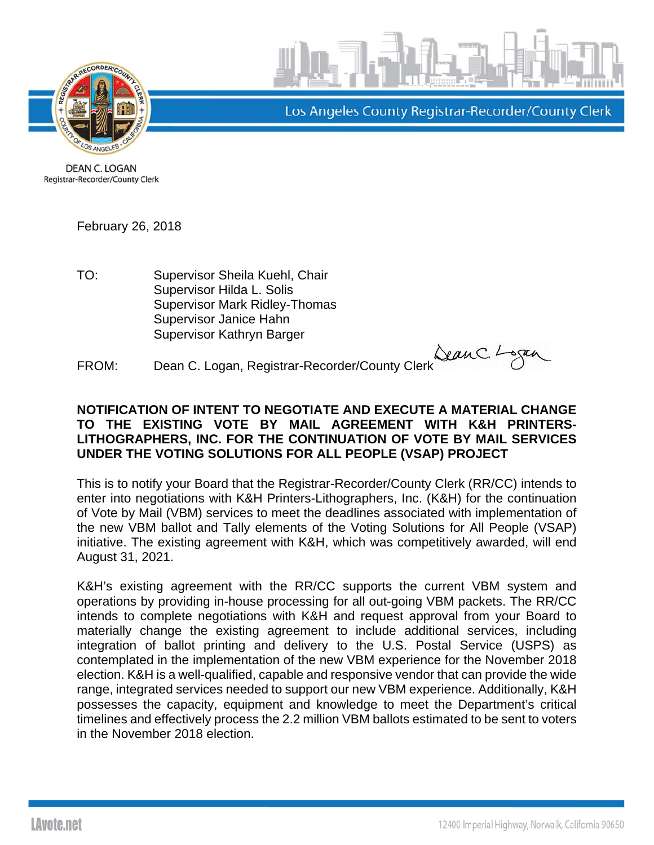



Los Angeles County Registrar-Recorder/County Clerk

**DEAN C. LOGAN** Registrar-Recorder/County Clerk

February 26, 2018

TO: Supervisor Sheila Kuehl, Chair Supervisor Hilda L. Solis Supervisor Mark Ridley-Thomas Supervisor Janice Hahn Supervisor Kathryn Barger

FROM: Dean C. Logan, Registrar-Recorder/County Clerk Sean C. Logan

## **NOTIFICATION OF INTENT TO NEGOTIATE AND EXECUTE A MATERIAL CHANGE TO THE EXISTING VOTE BY MAIL AGREEMENT WITH K&H PRINTERS-LITHOGRAPHERS, INC. FOR THE CONTINUATION OF VOTE BY MAIL SERVICES UNDER THE VOTING SOLUTIONS FOR ALL PEOPLE (VSAP) PROJECT**

This is to notify your Board that the Registrar-Recorder/County Clerk (RR/CC) intends to enter into negotiations with K&H Printers-Lithographers, Inc. (K&H) for the continuation of Vote by Mail (VBM) services to meet the deadlines associated with implementation of the new VBM ballot and Tally elements of the Voting Solutions for All People (VSAP) initiative. The existing agreement with K&H, which was competitively awarded, will end August 31, 2021.

K&H's existing agreement with the RR/CC supports the current VBM system and operations by providing in-house processing for all out-going VBM packets. The RR/CC intends to complete negotiations with K&H and request approval from your Board to materially change the existing agreement to include additional services, including integration of ballot printing and delivery to the U.S. Postal Service (USPS) as contemplated in the implementation of the new VBM experience for the November 2018 election. K&H is a well-qualified, capable and responsive vendor that can provide the wide range, integrated services needed to support our new VBM experience. Additionally, K&H possesses the capacity, equipment and knowledge to meet the Department's critical timelines and effectively process the 2.2 million VBM ballots estimated to be sent to voters in the November 2018 election.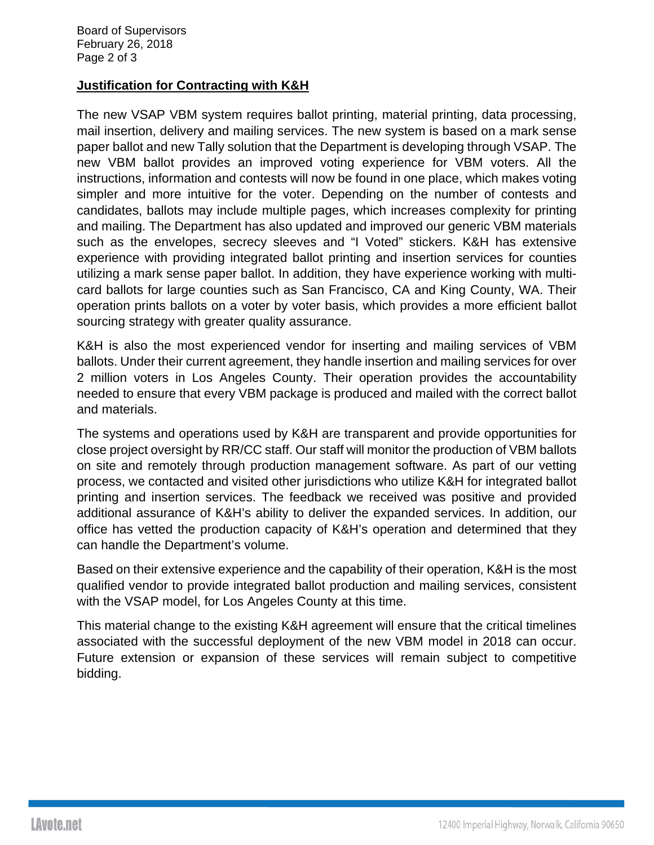## **Justification for Contracting with K&H**

The new VSAP VBM system requires ballot printing, material printing, data processing, mail insertion, delivery and mailing services. The new system is based on a mark sense paper ballot and new Tally solution that the Department is developing through VSAP. The new VBM ballot provides an improved voting experience for VBM voters. All the instructions, information and contests will now be found in one place, which makes voting simpler and more intuitive for the voter. Depending on the number of contests and candidates, ballots may include multiple pages, which increases complexity for printing and mailing. The Department has also updated and improved our generic VBM materials such as the envelopes, secrecy sleeves and "I Voted" stickers. K&H has extensive experience with providing integrated ballot printing and insertion services for counties utilizing a mark sense paper ballot. In addition, they have experience working with multicard ballots for large counties such as San Francisco, CA and King County, WA. Their operation prints ballots on a voter by voter basis, which provides a more efficient ballot sourcing strategy with greater quality assurance.

K&H is also the most experienced vendor for inserting and mailing services of VBM ballots. Under their current agreement, they handle insertion and mailing services for over 2 million voters in Los Angeles County. Their operation provides the accountability needed to ensure that every VBM package is produced and mailed with the correct ballot and materials.

The systems and operations used by K&H are transparent and provide opportunities for close project oversight by RR/CC staff. Our staff will monitor the production of VBM ballots on site and remotely through production management software. As part of our vetting process, we contacted and visited other jurisdictions who utilize K&H for integrated ballot printing and insertion services. The feedback we received was positive and provided additional assurance of K&H's ability to deliver the expanded services. In addition, our office has vetted the production capacity of K&H's operation and determined that they can handle the Department's volume.

Based on their extensive experience and the capability of their operation, K&H is the most qualified vendor to provide integrated ballot production and mailing services, consistent with the VSAP model, for Los Angeles County at this time.

This material change to the existing K&H agreement will ensure that the critical timelines associated with the successful deployment of the new VBM model in 2018 can occur. Future extension or expansion of these services will remain subject to competitive bidding.